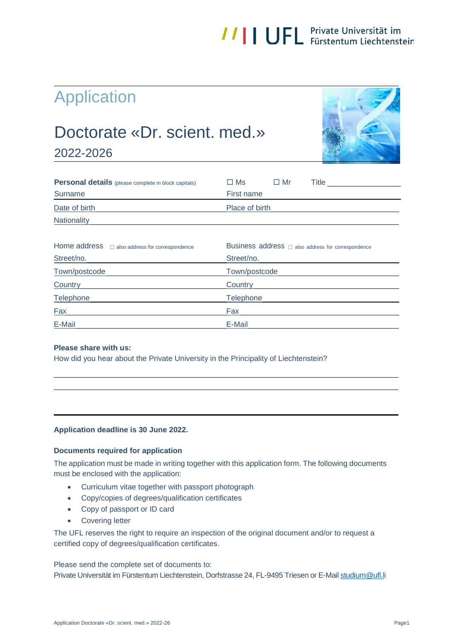# **//||UFL** Private Universität im

### Application

### Doctorate «Dr. scient. med.»





| <b>Personal details</b> (please complete in block capitals) | Title<br>$\square$ Ms<br>$\Box$ Mr                         |
|-------------------------------------------------------------|------------------------------------------------------------|
| Surname                                                     | First name                                                 |
| Date of birth                                               | Place of birth                                             |
| <b>Nationality</b>                                          |                                                            |
| Home address also address for correspondence                | Business $address \square$ also address for correspondence |
| Street/no.                                                  | Street/no.                                                 |
| Town/postcode                                               | Town/postcode                                              |
| <b>Country</b>                                              | Country                                                    |
| Telephone                                                   | <b>Telephone</b>                                           |
| Fax                                                         | Fax                                                        |
| E-Mail                                                      | E-Mail                                                     |

#### **Please share with us:**

How did you hear about the Private University in the Principality of Liechtenstein?

#### **Application deadline is 30 June 2022.**

#### **Documents required for application**

The application must be made in writing together with this application form. The following documents must be enclosed with the application:

- Curriculum vitae together with passport photograph
- Copy/copies of degrees/qualification certificates
- Copy of passport or ID card
- **•** Covering letter

The UFL reserves the right to require an inspection of the original document and/or to request a certified copy of degrees/qualification certificates.

Please send the complete set of documents to: Private Universität im Fürstentum Liechtenstein, Dorfstrasse 24, FL-9495 Triesen or E-Mai[l studium@ufl.li](mailto:studium@ufl.li)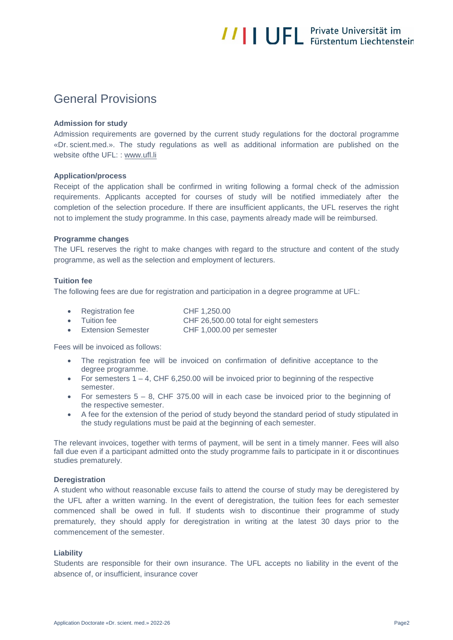## **//||UFL** Private Universität im

### General Provisions

#### **Admission for study**

Admission requirements are governed by the current study regulations for the doctoral programme «Dr. scient.med.». The study regulations as well as additional information are published on the website of the UFL: : [www.ufl.li](http://www.ufl.li/)

#### **Application/process**

Receipt of the application shall be confirmed in writing following a formal check of the admission requirements. Applicants accepted for courses of study will be notified immediately after the completion of the selection procedure. If there are insufficient applicants, the UFL reserves the right not to implement the study programme. In this case, payments already made will be reimbursed.

#### **Programme changes**

The UFL reserves the right to make changes with regard to the structure and content of the study programme, as well as the selection and employment of lecturers.

#### **Tuition fee**

The following fees are due for registration and participation in a degree programme at UFL:

| • Registration fee   | CHF 1.250.00                            |
|----------------------|-----------------------------------------|
| • Tuition fee        | CHF 26,500.00 total for eight semesters |
| • Extension Semester | CHF 1,000.00 per semester               |

Fees will be invoiced as follows:

- The registration fee will be invoiced on confirmation of definitive acceptance to the degree programme.
- For semesters  $1 4$ , CHF 6,250.00 will be invoiced prior to beginning of the respective semester.
- For semesters  $5 8$ , CHF 375.00 will in each case be invoiced prior to the beginning of the respective semester.
- A fee for the extension of the period of study beyond the standard period of study stipulated in the study regulations must be paid at the beginning of each semester.

The relevant invoices, together with terms of payment, will be sent in a timely manner. Fees will also fall due even if a participant admitted onto the study programme fails to participate in it or discontinues studies prematurely.

#### **Deregistration**

A student who without reasonable excuse fails to attend the course of study may be deregistered by the UFL after a written warning. In the event of deregistration, the tuition fees for each semester commenced shall be owed in full. If students wish to discontinue their programme of study prematurely, they should apply for deregistration in writing at the latest 30 days prior to the commencement of the semester.

#### **Liability**

Students are responsible for their own insurance. The UFL accepts no liability in the event of the absence of, or insufficient, insurance cover